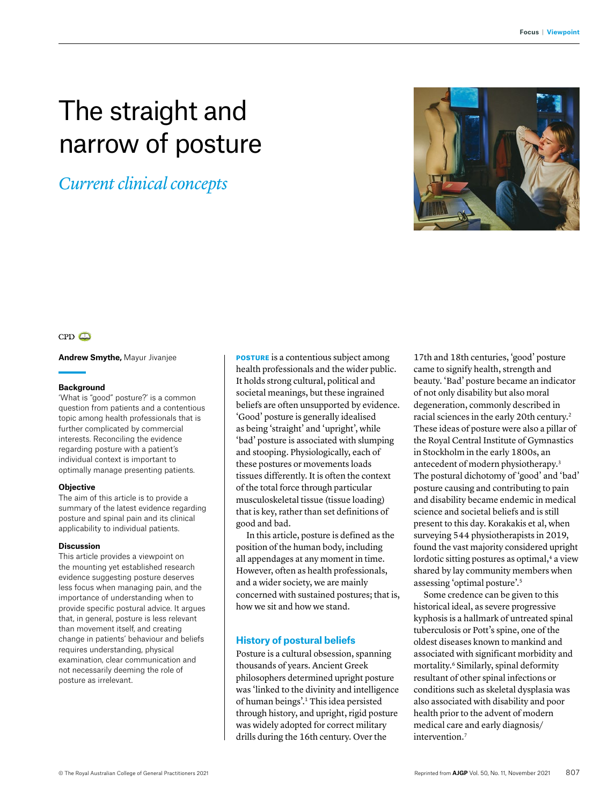# The straight and narrow of posture

# *Current clinical concepts*



# $CPD$

**Andrew Smythe,** Mayur Jivanjee

#### **Background**

'What is "good" posture?' is a common question from patients and a contentious topic among health professionals that is further complicated by commercial interests. Reconciling the evidence regarding posture with a patient's individual context is important to optimally manage presenting patients.

#### **Objective**

The aim of this article is to provide a summary of the latest evidence regarding posture and spinal pain and its clinical applicability to individual patients.

#### **Discussion**

This article provides a viewpoint on the mounting yet established research evidence suggesting posture deserves less focus when managing pain, and the importance of understanding when to provide specific postural advice. It argues that, in general, posture is less relevant than movement itself, and creating change in patients' behaviour and beliefs requires understanding, physical examination, clear communication and not necessarily deeming the role of posture as irrelevant.

POSTURE is a contentious subject among health professionals and the wider public. It holds strong cultural, political and societal meanings, but these ingrained beliefs are often unsupported by evidence. 'Good' posture is generally idealised as being 'straight' and 'upright', while 'bad' posture is associated with slumping and stooping. Physiologically, each of these postures or movements loads tissues differently. It is often the context of the total force through particular musculoskeletal tissue (tissue loading) that is key, rather than set definitions of good and bad.

In this article, posture is defined as the position of the human body, including all appendages at any moment in time. However, often as health professionals, and a wider society, we are mainly concerned with sustained postures; that is, how we sit and how we stand.

### **History of postural beliefs**

Posture is a cultural obsession, spanning thousands of years. Ancient Greek philosophers determined upright posture was 'linked to the divinity and intelligence of human beings'.1 This idea persisted through history, and upright, rigid posture was widely adopted for correct military drills during the 16th century. Over the

17th and 18th centuries, 'good' posture came to signify health, strength and beauty. 'Bad' posture became an indicator of not only disability but also moral degeneration, commonly described in racial sciences in the early 20th century.2 These ideas of posture were also a pillar of the Royal Central Institute of Gymnastics in Stockholm in the early 1800s, an antecedent of modern physiotherapy.3 The postural dichotomy of 'good' and 'bad' posture causing and contributing to pain and disability became endemic in medical science and societal beliefs and is still present to this day. Korakakis et al, when surveying 544 physiotherapists in 2019, found the vast majority considered upright lordotic sitting postures as optimal,<sup>4</sup> a view shared by lay community members when assessing 'optimal posture'.5

Some credence can be given to this historical ideal, as severe progressive kyphosis is a hallmark of untreated spinal tuberculosis or Pott's spine, one of the oldest diseases known to mankind and associated with significant morbidity and mortality.<sup>6</sup> Similarly, spinal deformity resultant of other spinal infections or conditions such as skeletal dysplasia was also associated with disability and poor health prior to the advent of modern medical care and early diagnosis/ intervention.<sup>7</sup>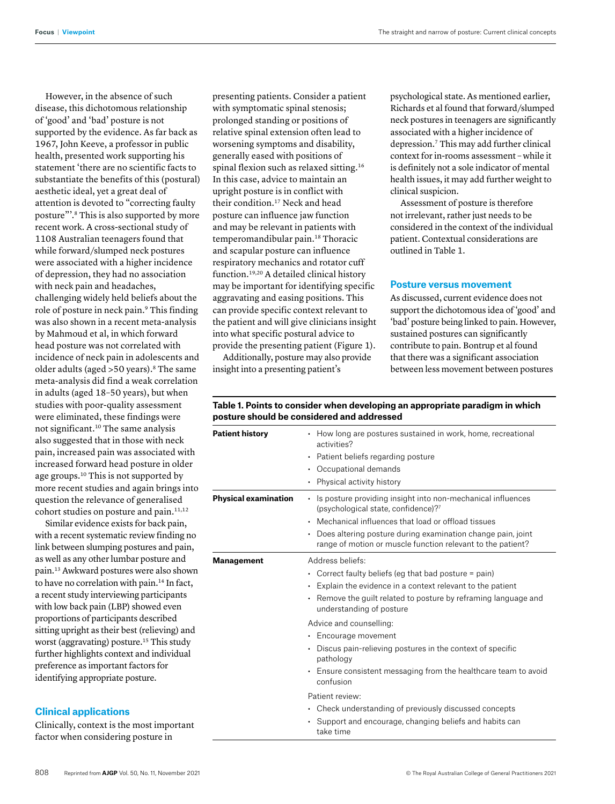However, in the absence of such disease, this dichotomous relationship of 'good' and 'bad' posture is not supported by the evidence. As far back as 1967, John Keeve, a professor in public health, presented work supporting his statement 'there are no scientific facts to substantiate the benefits of this (postural) aesthetic ideal, yet a great deal of attention is devoted to "correcting faulty posture"'.8 This is also supported by more recent work. A cross-sectional study of 1108 Australian teenagers found that while forward/slumped neck postures were associated with a higher incidence of depression, they had no association with neck pain and headaches, challenging widely held beliefs about the role of posture in neck pain.9 This finding was also shown in a recent meta-analysis by Mahmoud et al, in which forward head posture was not correlated with incidence of neck pain in adolescents and older adults (aged > 50 years).<sup>8</sup> The same meta-analysis did find a weak correlation in adults (aged 18–50 years), but when studies with poor-quality assessment were eliminated, these findings were not significant.10 The same analysis also suggested that in those with neck pain, increased pain was associated with increased forward head posture in older age groups.10 This is not supported by more recent studies and again brings into question the relevance of generalised cohort studies on posture and pain.<sup>11,12</sup>

Similar evidence exists for back pain, with a recent systematic review finding no link between slumping postures and pain, as well as any other lumbar posture and pain.13 Awkward postures were also shown to have no correlation with pain.<sup>14</sup> In fact, a recent study interviewing participants with low back pain (LBP) showed even proportions of participants described sitting upright as their best (relieving) and worst (aggravating) posture.<sup>15</sup> This study further highlights context and individual preference as important factors for identifying appropriate posture.

# **Clinical applications**

Clinically, context is the most important factor when considering posture in

presenting patients. Consider a patient with symptomatic spinal stenosis; prolonged standing or positions of relative spinal extension often lead to worsening symptoms and disability, generally eased with positions of spinal flexion such as relaxed sitting.16 In this case, advice to maintain an upright posture is in conflict with their condition.<sup>17</sup> Neck and head posture can influence jaw function and may be relevant in patients with temperomandibular pain.18 Thoracic and scapular posture can influence respiratory mechanics and rotator cuff function.19,20 A detailed clinical history may be important for identifying specific aggravating and easing positions. This can provide specific context relevant to the patient and will give clinicians insight into what specific postural advice to provide the presenting patient (Figure 1).

Additionally, posture may also provide insight into a presenting patient's

psychological state. As mentioned earlier, Richards et al found that forward/slumped neck postures in teenagers are significantly associated with a higher incidence of depression.7 This may add further clinical context for in-rooms assessment – while it is definitely not a sole indicator of mental health issues, it may add further weight to clinical suspicion.

Assessment of posture is therefore not irrelevant, rather just needs to be considered in the context of the individual patient. Contextual considerations are outlined in Table 1.

### **Posture versus movement**

As discussed, current evidence does not support the dichotomous idea of 'good' and 'bad' posture being linked to pain. However, sustained postures can significantly contribute to pain. Bontrup et al found that there was a significant association between less movement between postures

# **Table 1. Points to consider when developing an appropriate paradigm in which posture should be considered and addressed**

| <b>Patient history</b>      | • How long are postures sustained in work, home, recreational<br>activities?<br>• Patient beliefs regarding posture<br>Occupational demands<br>٠<br>• Physical activity history                                                                                                                                                                                 |
|-----------------------------|-----------------------------------------------------------------------------------------------------------------------------------------------------------------------------------------------------------------------------------------------------------------------------------------------------------------------------------------------------------------|
| <b>Physical examination</b> | Is posture providing insight into non-mechanical influences<br>٠<br>(psychological state, confidence)?<br>• Mechanical influences that load or offload tissues<br>Does altering posture during examination change pain, joint<br>٠<br>range of motion or muscle function relevant to the patient?                                                               |
| <b>Management</b>           | Address beliefs:<br>• Correct faulty beliefs (eg that bad posture = pain)<br>$\cdot$ Explain the evidence in a context relevant to the patient<br>Remove the quilt related to posture by reframing language and<br>understanding of posture                                                                                                                     |
|                             | Advice and counselling:<br>• Encourage movement<br>Discus pain-relieving postures in the context of specific<br>pathology<br>• Ensure consistent messaging from the healthcare team to avoid<br>confusion<br>Patient review:<br>• Check understanding of previously discussed concepts<br>• Support and encourage, changing beliefs and habits can<br>take time |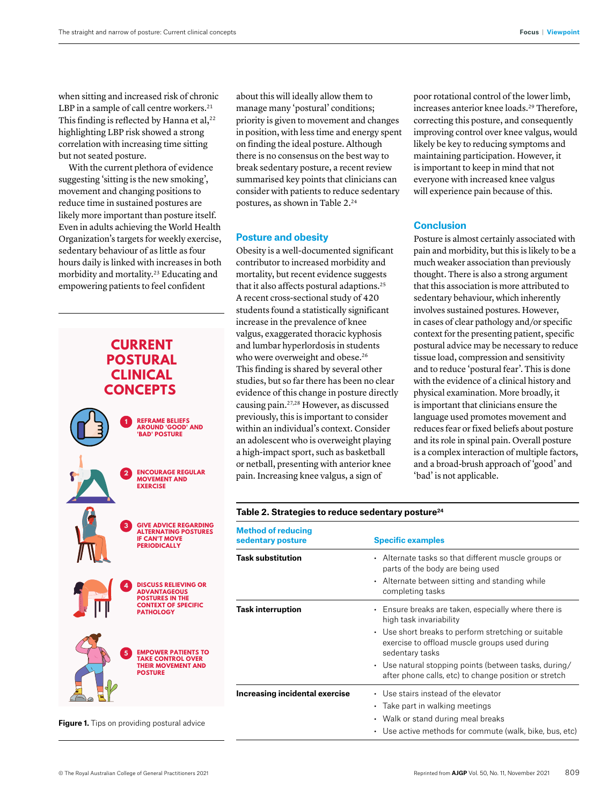when sitting and increased risk of chronic LBP in a sample of call centre workers.<sup>21</sup> This finding is reflected by Hanna et al, $^{22}$ highlighting LBP risk showed a strong correlation with increasing time sitting but not seated posture.

With the current plethora of evidence suggesting 'sitting is the new smoking', movement and changing positions to reduce time in sustained postures are likely more important than posture itself. Even in adults achieving the World Health Organization's targets for weekly exercise, sedentary behaviour of as little as four hours daily is linked with increases in both morbidity and mortality.23 Educating and empowering patients to feel confident





previously, this is important to consider within an individual's context. Consider an adolescent who is overweight playing a high-impact sport, such as basketball or netball, presenting with anterior knee pain. Increasing knee valgus, a sign of

about this will ideally allow them to manage many 'postural' conditions; priority is given to movement and changes in position, with less time and energy spent on finding the ideal posture. Although there is no consensus on the best way to break sedentary posture, a recent review summarised key points that clinicians can consider with patients to reduce sedentary

postures, as shown in Table 2.24

Obesity is a well-documented significant contributor to increased morbidity and mortality, but recent evidence suggests that it also affects postural adaptions.25 A recent cross-sectional study of 420 students found a statistically significant increase in the prevalence of knee valgus, exaggerated thoracic kyphosis and lumbar hyperlordosis in students

**Posture and obesity**

poor rotational control of the lower limb, increases anterior knee loads.<sup>29</sup> Therefore, correcting this posture, and consequently improving control over knee valgus, would likely be key to reducing symptoms and maintaining participation. However, it is important to keep in mind that not everyone with increased knee valgus will experience pain because of this.

# **Conclusion**

Posture is almost certainly associated with pain and morbidity, but this is likely to be a much weaker association than previously thought. There is also a strong argument that this association is more attributed to sedentary behaviour, which inherently involves sustained postures. However, in cases of clear pathology and/or specific context for the presenting patient, specific postural advice may be necessary to reduce tissue load, compression and sensitivity and to reduce 'postural fear'. This is done with the evidence of a clinical history and physical examination. More broadly, it is important that clinicians ensure the language used promotes movement and reduces fear or fixed beliefs about posture and its role in spinal pain. Overall posture is a complex interaction of multiple factors, and a broad-brush approach of 'good' and 'bad' is not applicable.

| <b>Method of reducing</b><br>sedentary posture | <b>Specific examples</b>                                                                                                 |
|------------------------------------------------|--------------------------------------------------------------------------------------------------------------------------|
| <b>Task substitution</b>                       | Alternate tasks so that different muscle groups or<br>$\bullet$<br>parts of the body are being used                      |
|                                                | • Alternate between sitting and standing while<br>completing tasks                                                       |
| <b>Task interruption</b>                       | Ensure breaks are taken, especially where there is<br>$\bullet$<br>high task invariability                               |
|                                                | • Use short breaks to perform stretching or suitable<br>exercise to offload muscle groups used during<br>sedentary tasks |
|                                                | • Use natural stopping points (between tasks, during/<br>after phone calls, etc) to change position or stretch           |
| Increasing incidental exercise                 | • Use stairs instead of the elevator                                                                                     |
|                                                | • Take part in walking meetings                                                                                          |
|                                                | • Walk or stand during meal breaks                                                                                       |
|                                                | • Use active methods for commute (walk, bike, bus, etc)                                                                  |

#### **Table 2. Strategies to reduce sedentary posture24**

**Figure 1.** Tips on providing postural advice